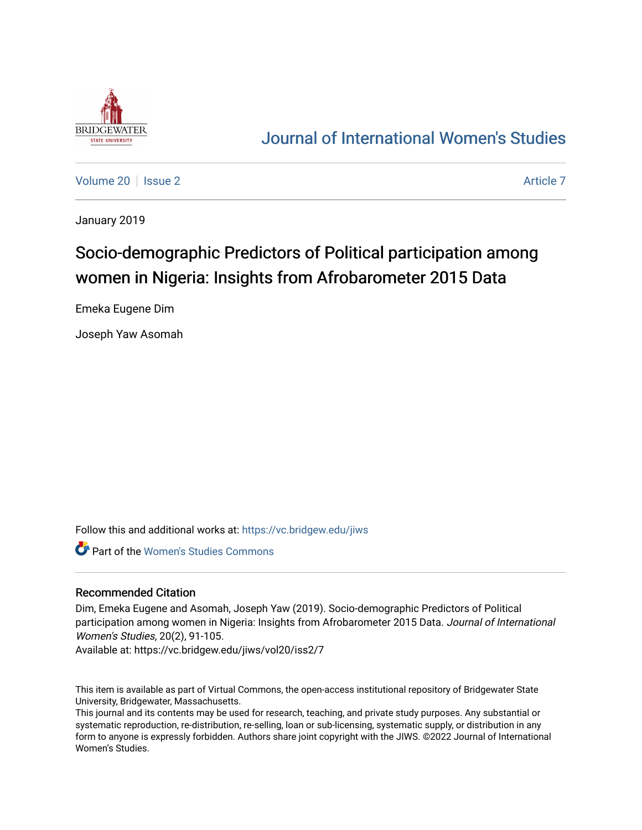

# [Journal of International Women's Studies](https://vc.bridgew.edu/jiws)

[Volume 20](https://vc.bridgew.edu/jiws/vol20) | [Issue 2](https://vc.bridgew.edu/jiws/vol20/iss2) [Article 7](https://vc.bridgew.edu/jiws/vol20/iss2/7) Article 7 Article 7 Article 7 Article 7 Article 7 Article 7

January 2019

# Socio-demographic Predictors of Political participation among women in Nigeria: Insights from Afrobarometer 2015 Data

Emeka Eugene Dim

Joseph Yaw Asomah

Follow this and additional works at: [https://vc.bridgew.edu/jiws](https://vc.bridgew.edu/jiws?utm_source=vc.bridgew.edu%2Fjiws%2Fvol20%2Fiss2%2F7&utm_medium=PDF&utm_campaign=PDFCoverPages)

Part of the [Women's Studies Commons](http://network.bepress.com/hgg/discipline/561?utm_source=vc.bridgew.edu%2Fjiws%2Fvol20%2Fiss2%2F7&utm_medium=PDF&utm_campaign=PDFCoverPages) 

#### Recommended Citation

Dim, Emeka Eugene and Asomah, Joseph Yaw (2019). Socio-demographic Predictors of Political participation among women in Nigeria: Insights from Afrobarometer 2015 Data. Journal of International Women's Studies, 20(2), 91-105.

Available at: https://vc.bridgew.edu/jiws/vol20/iss2/7

This item is available as part of Virtual Commons, the open-access institutional repository of Bridgewater State University, Bridgewater, Massachusetts.

This journal and its contents may be used for research, teaching, and private study purposes. Any substantial or systematic reproduction, re-distribution, re-selling, loan or sub-licensing, systematic supply, or distribution in any form to anyone is expressly forbidden. Authors share joint copyright with the JIWS. ©2022 Journal of International Women's Studies.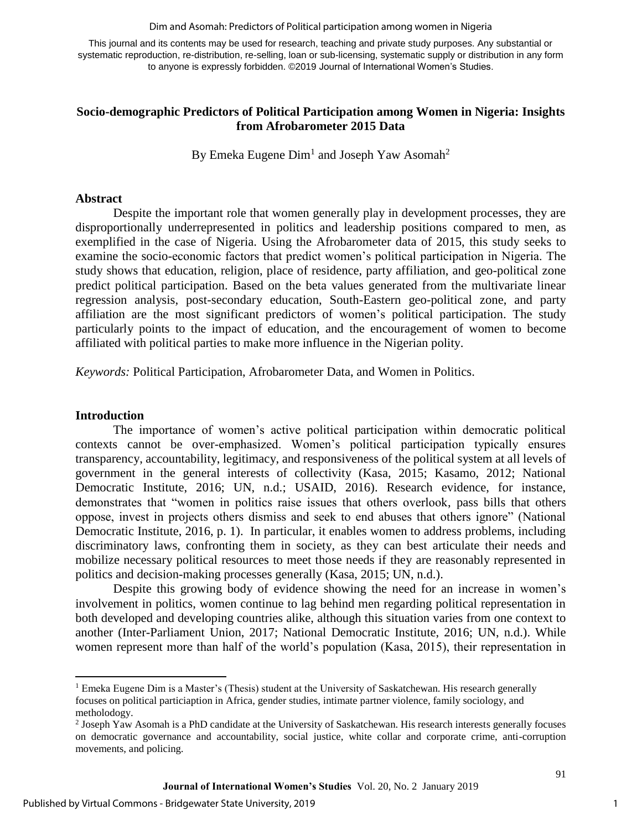Dim and Asomah: Predictors of Political participation among women in Nigeria

This journal and its contents may be used for research, teaching and private study purposes. Any substantial or systematic reproduction, re-distribution, re-selling, loan or sub-licensing, systematic supply or distribution in any form to anyone is expressly forbidden. ©2019 Journal of International Women's Studies.

### **Socio-demographic Predictors of Political Participation among Women in Nigeria: Insights from Afrobarometer 2015 Data**

By Emeka Eugene  $Dim<sup>1</sup>$  and Joseph Yaw Asomah<sup>2</sup>

#### **Abstract**

Despite the important role that women generally play in development processes, they are disproportionally underrepresented in politics and leadership positions compared to men, as exemplified in the case of Nigeria. Using the Afrobarometer data of 2015, this study seeks to examine the socio-economic factors that predict women's political participation in Nigeria. The study shows that education, religion, place of residence, party affiliation, and geo-political zone predict political participation. Based on the beta values generated from the multivariate linear regression analysis, post-secondary education, South-Eastern geo-political zone, and party affiliation are the most significant predictors of women's political participation. The study particularly points to the impact of education, and the encouragement of women to become affiliated with political parties to make more influence in the Nigerian polity.

*Keywords:* Political Participation, Afrobarometer Data, and Women in Politics.

#### **Introduction**

 $\overline{\phantom{a}}$ 

The importance of women's active political participation within democratic political contexts cannot be over-emphasized. Women's political participation typically ensures transparency, accountability, legitimacy, and responsiveness of the political system at all levels of government in the general interests of collectivity (Kasa, 2015; Kasamo, 2012; National Democratic Institute, 2016; UN, n.d.; USAID, 2016). Research evidence, for instance, demonstrates that "women in politics raise issues that others overlook, pass bills that others oppose, invest in projects others dismiss and seek to end abuses that others ignore" (National Democratic Institute, 2016, p. 1). In particular, it enables women to address problems, including discriminatory laws, confronting them in society, as they can best articulate their needs and mobilize necessary political resources to meet those needs if they are reasonably represented in politics and decision-making processes generally (Kasa, 2015; UN, n.d.).

Despite this growing body of evidence showing the need for an increase in women's involvement in politics, women continue to lag behind men regarding political representation in both developed and developing countries alike, although this situation varies from one context to another (Inter-Parliament Union, 2017; National Democratic Institute, 2016; UN, n.d.). While women represent more than half of the world's population (Kasa, 2015), their representation in

1

 $<sup>1</sup>$  Emeka Eugene Dim is a Master's (Thesis) student at the University of Saskatchewan. His research generally</sup> focuses on political particiaption in Africa, gender studies, intimate partner violence, family sociology, and metholodogy.

<sup>&</sup>lt;sup>2</sup> Joseph Yaw Asomah is a PhD candidate at the University of Saskatchewan. His research interests generally focuses on democratic governance and accountability, social justice, white collar and corporate crime, anti-corruption movements, and policing.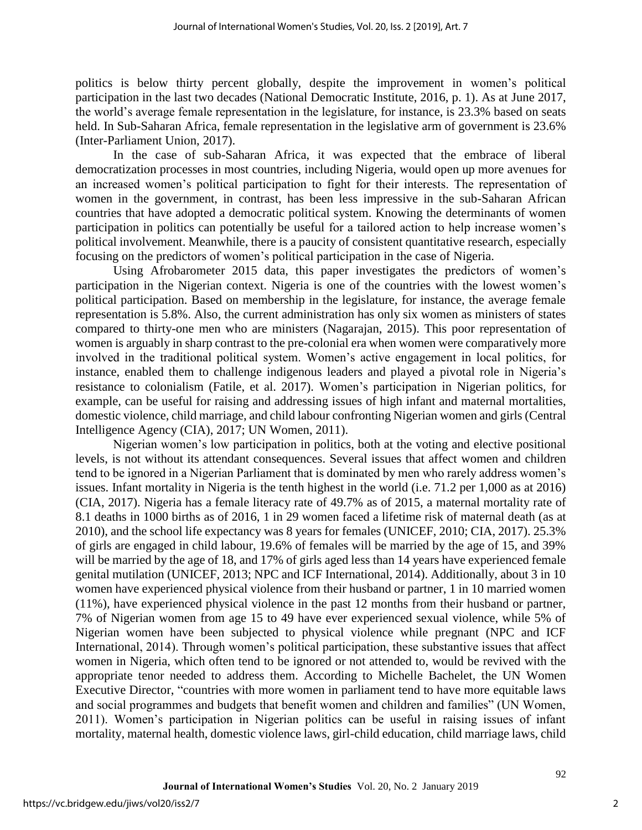politics is below thirty percent globally, despite the improvement in women's political participation in the last two decades (National Democratic Institute, 2016, p. 1). As at June 2017, the world's average female representation in the legislature, for instance, is 23.3% based on seats held. In Sub-Saharan Africa, female representation in the legislative arm of government is 23.6% (Inter-Parliament Union, 2017).

In the case of sub-Saharan Africa, it was expected that the embrace of liberal democratization processes in most countries, including Nigeria, would open up more avenues for an increased women's political participation to fight for their interests. The representation of women in the government, in contrast, has been less impressive in the sub-Saharan African countries that have adopted a democratic political system. Knowing the determinants of women participation in politics can potentially be useful for a tailored action to help increase women's political involvement. Meanwhile, there is a paucity of consistent quantitative research, especially focusing on the predictors of women's political participation in the case of Nigeria.

Using Afrobarometer 2015 data, this paper investigates the predictors of women's participation in the Nigerian context. Nigeria is one of the countries with the lowest women's political participation. Based on membership in the legislature, for instance, the average female representation is 5.8%. Also, the current administration has only six women as ministers of states compared to thirty-one men who are ministers (Nagarajan, 2015). This poor representation of women is arguably in sharp contrast to the pre-colonial era when women were comparatively more involved in the traditional political system. Women's active engagement in local politics, for instance, enabled them to challenge indigenous leaders and played a pivotal role in Nigeria's resistance to colonialism (Fatile, et al. 2017). Women's participation in Nigerian politics, for example, can be useful for raising and addressing issues of high infant and maternal mortalities, domestic violence, child marriage, and child labour confronting Nigerian women and girls (Central Intelligence Agency (CIA), 2017; UN Women, 2011).

Nigerian women's low participation in politics, both at the voting and elective positional levels, is not without its attendant consequences. Several issues that affect women and children tend to be ignored in a Nigerian Parliament that is dominated by men who rarely address women's issues. Infant mortality in Nigeria is the tenth highest in the world (i.e. 71.2 per 1,000 as at 2016) (CIA, 2017). Nigeria has a female literacy rate of 49.7% as of 2015, a maternal mortality rate of 8.1 deaths in 1000 births as of 2016, 1 in 29 women faced a lifetime risk of maternal death (as at 2010), and the school life expectancy was 8 years for females (UNICEF, 2010; CIA, 2017). 25.3% of girls are engaged in child labour, 19.6% of females will be married by the age of 15, and 39% will be married by the age of 18, and 17% of girls aged less than 14 years have experienced female genital mutilation (UNICEF, 2013; NPC and ICF International, 2014). Additionally, about 3 in 10 women have experienced physical violence from their husband or partner, 1 in 10 married women (11%), have experienced physical violence in the past 12 months from their husband or partner, 7% of Nigerian women from age 15 to 49 have ever experienced sexual violence, while 5% of Nigerian women have been subjected to physical violence while pregnant (NPC and ICF International, 2014). Through women's political participation, these substantive issues that affect women in Nigeria, which often tend to be ignored or not attended to, would be revived with the appropriate tenor needed to address them. According to Michelle Bachelet, the UN Women Executive Director, "countries with more women in parliament tend to have more equitable laws and social programmes and budgets that benefit women and children and families" (UN Women, 2011). Women's participation in Nigerian politics can be useful in raising issues of infant mortality, maternal health, domestic violence laws, girl-child education, child marriage laws, child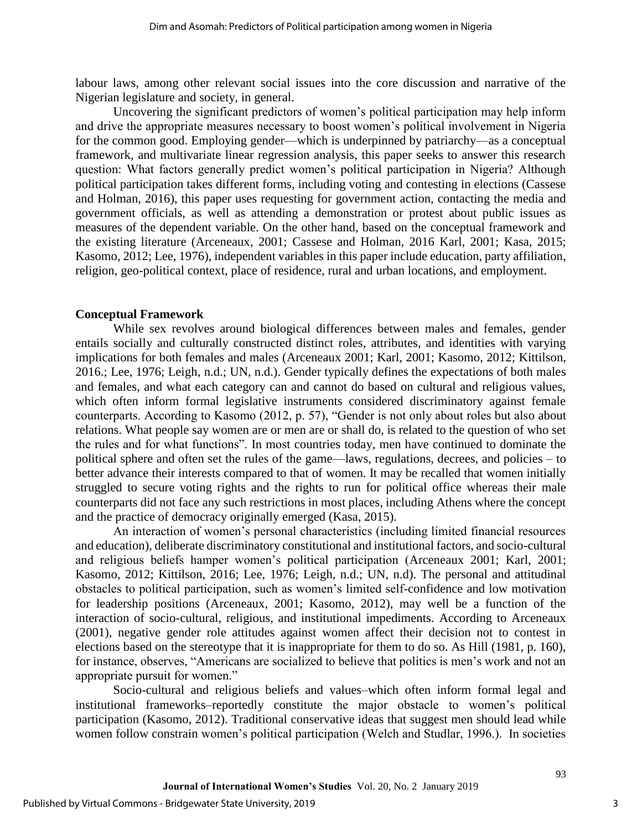labour laws, among other relevant social issues into the core discussion and narrative of the Nigerian legislature and society, in general.

Uncovering the significant predictors of women's political participation may help inform and drive the appropriate measures necessary to boost women's political involvement in Nigeria for the common good. Employing gender—which is underpinned by patriarchy—as a conceptual framework, and multivariate linear regression analysis, this paper seeks to answer this research question: What factors generally predict women's political participation in Nigeria? Although political participation takes different forms, including voting and contesting in elections (Cassese and Holman, 2016), this paper uses requesting for government action, contacting the media and government officials, as well as attending a demonstration or protest about public issues as measures of the dependent variable. On the other hand, based on the conceptual framework and the existing literature (Arceneaux, 2001; Cassese and Holman, 2016 Karl, 2001; Kasa, 2015; Kasomo, 2012; Lee, 1976), independent variables in this paper include education, party affiliation, religion, geo-political context, place of residence, rural and urban locations, and employment.

#### **Conceptual Framework**

While sex revolves around biological differences between males and females, gender entails socially and culturally constructed distinct roles, attributes, and identities with varying implications for both females and males (Arceneaux 2001; Karl, 2001; Kasomo, 2012; Kittilson, 2016.; Lee, 1976; Leigh, n.d.; UN, n.d.). Gender typically defines the expectations of both males and females, and what each category can and cannot do based on cultural and religious values, which often inform formal legislative instruments considered discriminatory against female counterparts. According to Kasomo (2012, p. 57), "Gender is not only about roles but also about relations. What people say women are or men are or shall do, is related to the question of who set the rules and for what functions". In most countries today, men have continued to dominate the political sphere and often set the rules of the game—laws, regulations, decrees, and policies – to better advance their interests compared to that of women. It may be recalled that women initially struggled to secure voting rights and the rights to run for political office whereas their male counterparts did not face any such restrictions in most places, including Athens where the concept and the practice of democracy originally emerged (Kasa, 2015).

An interaction of women's personal characteristics (including limited financial resources and education), deliberate discriminatory constitutional and institutional factors, and socio-cultural and religious beliefs hamper women's political participation (Arceneaux 2001; Karl, 2001; Kasomo, 2012; Kittilson, 2016; Lee, 1976; Leigh, n.d.; UN, n.d). The personal and attitudinal obstacles to political participation, such as women's limited self-confidence and low motivation for leadership positions (Arceneaux, 2001; Kasomo, 2012), may well be a function of the interaction of socio-cultural, religious, and institutional impediments. According to Arceneaux (2001), negative gender role attitudes against women affect their decision not to contest in elections based on the stereotype that it is inappropriate for them to do so. As Hill (1981, p. 160), for instance, observes, "Americans are socialized to believe that politics is men's work and not an appropriate pursuit for women."

Socio-cultural and religious beliefs and values–which often inform formal legal and institutional frameworks–reportedly constitute the major obstacle to women's political participation (Kasomo, 2012). Traditional conservative ideas that suggest men should lead while women follow constrain women's political participation (Welch and Studlar, 1996.). In societies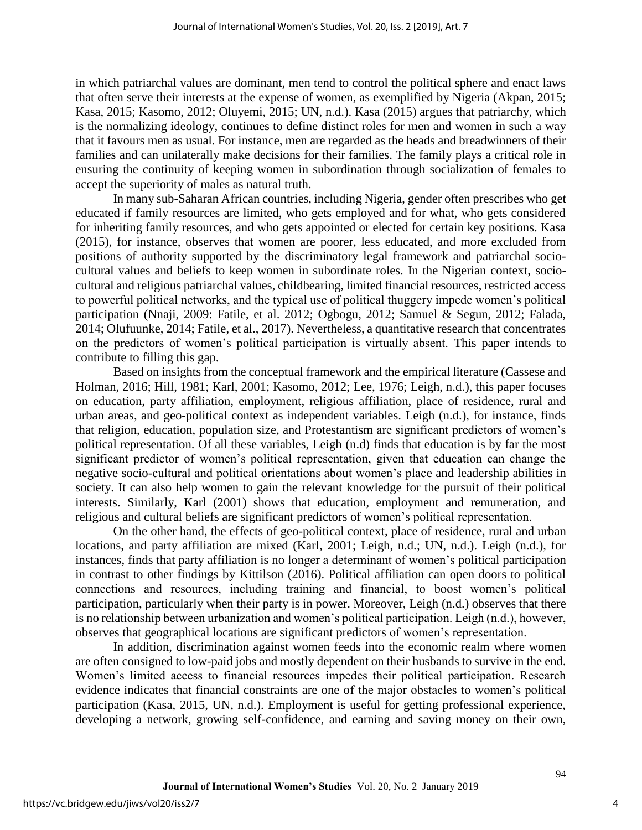in which patriarchal values are dominant, men tend to control the political sphere and enact laws that often serve their interests at the expense of women, as exemplified by Nigeria (Akpan, 2015; Kasa, 2015; Kasomo, 2012; Oluyemi, 2015; UN, n.d.). Kasa (2015) argues that patriarchy, which is the normalizing ideology, continues to define distinct roles for men and women in such a way that it favours men as usual. For instance, men are regarded as the heads and breadwinners of their families and can unilaterally make decisions for their families. The family plays a critical role in ensuring the continuity of keeping women in subordination through socialization of females to accept the superiority of males as natural truth.

In many sub-Saharan African countries, including Nigeria, gender often prescribes who get educated if family resources are limited, who gets employed and for what, who gets considered for inheriting family resources, and who gets appointed or elected for certain key positions. Kasa (2015), for instance, observes that women are poorer, less educated, and more excluded from positions of authority supported by the discriminatory legal framework and patriarchal sociocultural values and beliefs to keep women in subordinate roles. In the Nigerian context, sociocultural and religious patriarchal values, childbearing, limited financial resources, restricted access to powerful political networks, and the typical use of political thuggery impede women's political participation (Nnaji, 2009: Fatile, et al. 2012; Ogbogu, 2012; Samuel & Segun, 2012; Falada, 2014; Olufuunke, 2014; Fatile, et al., 2017). Nevertheless, a quantitative research that concentrates on the predictors of women's political participation is virtually absent. This paper intends to contribute to filling this gap.

Based on insights from the conceptual framework and the empirical literature (Cassese and Holman, 2016; Hill, 1981; Karl, 2001; Kasomo, 2012; Lee, 1976; Leigh, n.d.), this paper focuses on education, party affiliation, employment, religious affiliation, place of residence, rural and urban areas, and geo-political context as independent variables. Leigh (n.d.), for instance, finds that religion, education, population size, and Protestantism are significant predictors of women's political representation. Of all these variables, Leigh (n.d) finds that education is by far the most significant predictor of women's political representation, given that education can change the negative socio-cultural and political orientations about women's place and leadership abilities in society. It can also help women to gain the relevant knowledge for the pursuit of their political interests. Similarly, Karl (2001) shows that education, employment and remuneration, and religious and cultural beliefs are significant predictors of women's political representation.

On the other hand, the effects of geo-political context, place of residence, rural and urban locations, and party affiliation are mixed (Karl, 2001; Leigh, n.d.; UN, n.d.). Leigh (n.d.), for instances, finds that party affiliation is no longer a determinant of women's political participation in contrast to other findings by Kittilson (2016). Political affiliation can open doors to political connections and resources, including training and financial, to boost women's political participation, particularly when their party is in power. Moreover, Leigh (n.d.) observes that there is no relationship between urbanization and women's political participation. Leigh (n.d.), however, observes that geographical locations are significant predictors of women's representation.

In addition, discrimination against women feeds into the economic realm where women are often consigned to low-paid jobs and mostly dependent on their husbands to survive in the end. Women's limited access to financial resources impedes their political participation. Research evidence indicates that financial constraints are one of the major obstacles to women's political participation (Kasa, 2015, UN, n.d.). Employment is useful for getting professional experience, developing a network, growing self-confidence, and earning and saving money on their own,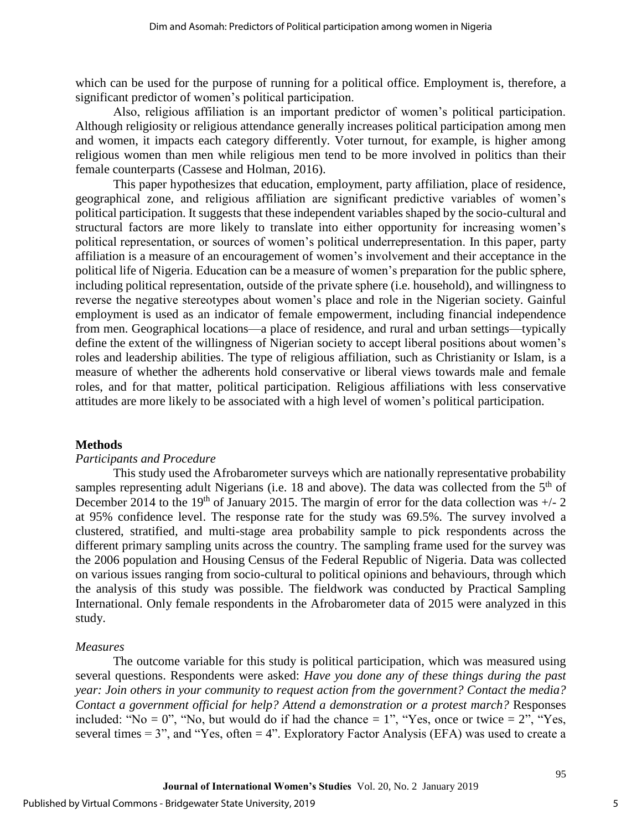which can be used for the purpose of running for a political office. Employment is, therefore, a significant predictor of women's political participation.

Also, religious affiliation is an important predictor of women's political participation. Although religiosity or religious attendance generally increases political participation among men and women, it impacts each category differently. Voter turnout, for example, is higher among religious women than men while religious men tend to be more involved in politics than their female counterparts (Cassese and Holman, 2016).

This paper hypothesizes that education, employment, party affiliation, place of residence, geographical zone, and religious affiliation are significant predictive variables of women's political participation. It suggests that these independent variables shaped by the socio-cultural and structural factors are more likely to translate into either opportunity for increasing women's political representation, or sources of women's political underrepresentation. In this paper, party affiliation is a measure of an encouragement of women's involvement and their acceptance in the political life of Nigeria. Education can be a measure of women's preparation for the public sphere, including political representation, outside of the private sphere (i.e. household), and willingness to reverse the negative stereotypes about women's place and role in the Nigerian society. Gainful employment is used as an indicator of female empowerment, including financial independence from men. Geographical locations—a place of residence, and rural and urban settings—typically define the extent of the willingness of Nigerian society to accept liberal positions about women's roles and leadership abilities. The type of religious affiliation, such as Christianity or Islam, is a measure of whether the adherents hold conservative or liberal views towards male and female roles, and for that matter, political participation. Religious affiliations with less conservative attitudes are more likely to be associated with a high level of women's political participation.

#### **Methods**

#### *Participants and Procedure*

This study used the Afrobarometer surveys which are nationally representative probability samples representing adult Nigerians (i.e. 18 and above). The data was collected from the  $5<sup>th</sup>$  of December 2014 to the 19<sup>th</sup> of January 2015. The margin of error for the data collection was  $+/- 2$ at 95% confidence level. The response rate for the study was 69.5%. The survey involved a clustered, stratified, and multi-stage area probability sample to pick respondents across the different primary sampling units across the country. The sampling frame used for the survey was the 2006 population and Housing Census of the Federal Republic of Nigeria. Data was collected on various issues ranging from socio-cultural to political opinions and behaviours, through which the analysis of this study was possible. The fieldwork was conducted by Practical Sampling International. Only female respondents in the Afrobarometer data of 2015 were analyzed in this study.

#### *Measures*

The outcome variable for this study is political participation, which was measured using several questions. Respondents were asked: *Have you done any of these things during the past year: Join others in your community to request action from the government? Contact the media? Contact a government official for help? Attend a demonstration or a protest march?* Responses included: "No = 0", "No, but would do if had the chance = 1", "Yes, once or twice =  $2$ ", "Yes, several times  $= 3$ ", and "Yes, often  $= 4$ ". Exploratory Factor Analysis (EFA) was used to create a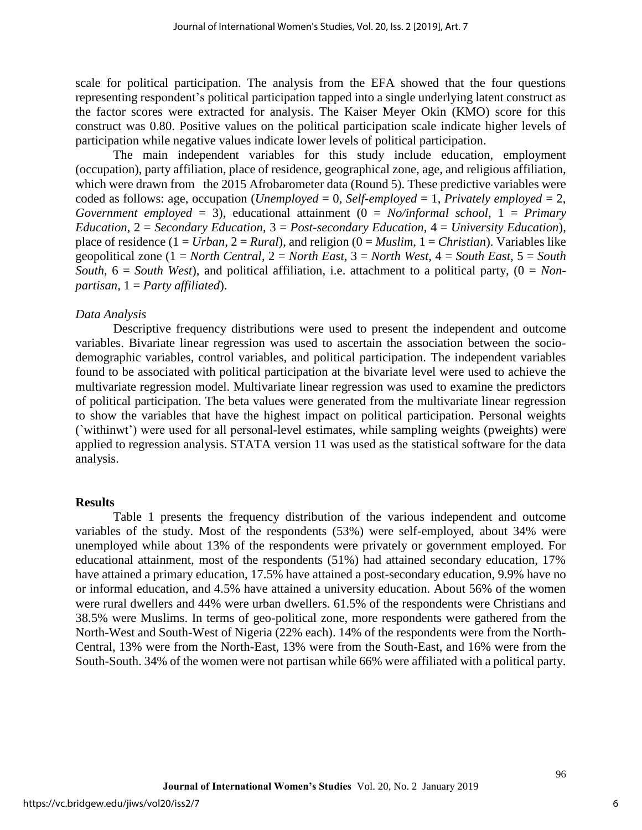scale for political participation. The analysis from the EFA showed that the four questions representing respondent's political participation tapped into a single underlying latent construct as the factor scores were extracted for analysis. The Kaiser Meyer Okin (KMO) score for this construct was 0.80. Positive values on the political participation scale indicate higher levels of participation while negative values indicate lower levels of political participation.

The main independent variables for this study include education, employment (occupation), party affiliation, place of residence, geographical zone, age, and religious affiliation, which were drawn from the 2015 Afrobarometer data (Round 5). These predictive variables were coded as follows: age, occupation (*Unemployed* = 0, *Self*-*employed* = 1, *Privately employed* = 2, *Government employed* = 3), educational attainment (0 = *No/informal school*, 1 = *Primary Education*, 2 = *Secondary Education*, 3 = *Post-secondary Education*, 4 = *University Education*), place of residence  $(1 = Urban, 2 = Rural)$ , and religion  $(0 = Muslim, 1 = Christian)$ . Variables like geopolitical zone (1 = *North Central*, 2 = *North East*, 3 = *North West*, 4 = *South East*, 5 = *South South*, 6 = *South West*), and political affiliation, i.e. attachment to a political party, (0 = *Nonpartisan*, 1 = *Party affiliated*).

#### *Data Analysis*

Descriptive frequency distributions were used to present the independent and outcome variables. Bivariate linear regression was used to ascertain the association between the sociodemographic variables, control variables, and political participation. The independent variables found to be associated with political participation at the bivariate level were used to achieve the multivariate regression model. Multivariate linear regression was used to examine the predictors of political participation. The beta values were generated from the multivariate linear regression to show the variables that have the highest impact on political participation. Personal weights (`withinwt') were used for all personal-level estimates, while sampling weights (pweights) were applied to regression analysis. STATA version 11 was used as the statistical software for the data analysis.

#### **Results**

Table 1 presents the frequency distribution of the various independent and outcome variables of the study. Most of the respondents (53%) were self-employed, about 34% were unemployed while about 13% of the respondents were privately or government employed. For educational attainment, most of the respondents (51%) had attained secondary education, 17% have attained a primary education, 17.5% have attained a post-secondary education, 9.9% have no or informal education, and 4.5% have attained a university education. About 56% of the women were rural dwellers and 44% were urban dwellers. 61.5% of the respondents were Christians and 38.5% were Muslims. In terms of geo-political zone, more respondents were gathered from the North-West and South-West of Nigeria (22% each). 14% of the respondents were from the North-Central, 13% were from the North-East, 13% were from the South-East, and 16% were from the South-South. 34% of the women were not partisan while 66% were affiliated with a political party.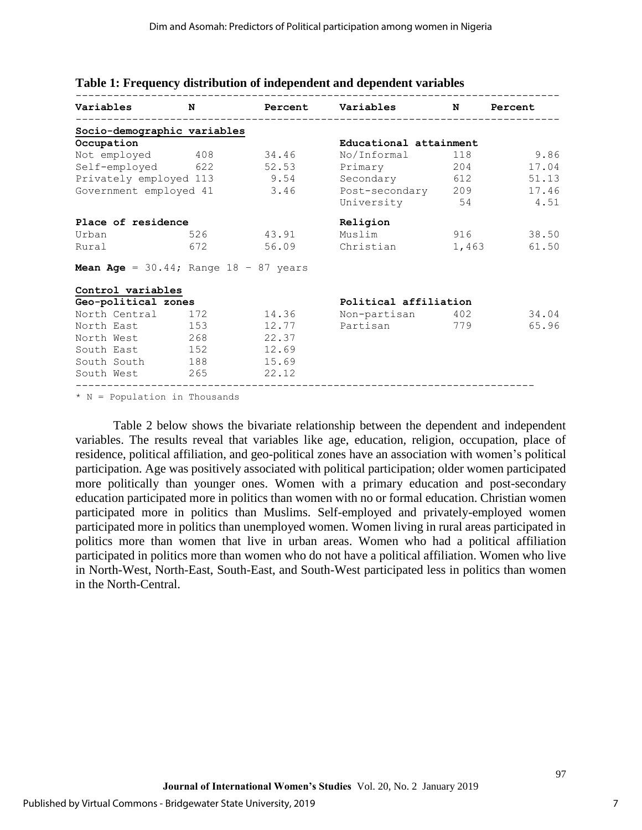| Variables                                         | N   |                | Percent Variables      | N     | Percent |  |
|---------------------------------------------------|-----|----------------|------------------------|-------|---------|--|
| Socio-demographic variables                       |     |                |                        |       |         |  |
| Occupation                                        |     |                | Educational attainment |       |         |  |
| Not employed 408                                  |     | 34.46          | No/Informal            | 118   | 9.86    |  |
| Self-employed 622 52.53                           |     |                | Primary                | 204   | 17.04   |  |
| Privately employed 113 9.54                       |     |                | Secondary              | 612   | 51.13   |  |
| 3.46<br>Government employed 41                    |     | Post-secondary | 209                    | 17.46 |         |  |
|                                                   |     |                | University             | 54    | 4.51    |  |
| Place of residence                                |     |                | Religion               |       |         |  |
| Urban                                             | 526 | 43.91          | Muslim                 | 916   | 38.50   |  |
| Rural                                             | 672 |                | 56.09 Christian        | 1,463 | 61.50   |  |
| <b>Mean Age</b> = $30.44$ ; Range $18 - 87$ years |     |                |                        |       |         |  |
| Control variables                                 |     |                |                        |       |         |  |
| Geo-political zones                               |     |                | Political affiliation  |       |         |  |
| North Central                                     | 172 | 14.36          | Non-partisan 402       |       | 34.04   |  |
| North East 153                                    |     | 12.77          | Partisan               | 779   | 65.96   |  |
| North West 268                                    |     | 22.37          |                        |       |         |  |
| South East 152                                    |     | 12.69          |                        |       |         |  |
| South South 188                                   |     | 15.69          |                        |       |         |  |
| South West 265                                    |     | 22.12          |                        |       |         |  |

#### **Table 1: Frequency distribution of independent and dependent variables**

\* N = Population in Thousands

Table 2 below shows the bivariate relationship between the dependent and independent variables. The results reveal that variables like age, education, religion, occupation, place of residence, political affiliation, and geo-political zones have an association with women's political participation. Age was positively associated with political participation; older women participated more politically than younger ones. Women with a primary education and post-secondary education participated more in politics than women with no or formal education. Christian women participated more in politics than Muslims. Self-employed and privately-employed women participated more in politics than unemployed women. Women living in rural areas participated in politics more than women that live in urban areas. Women who had a political affiliation participated in politics more than women who do not have a political affiliation. Women who live in North-West, North-East, South-East, and South-West participated less in politics than women in the North-Central.

7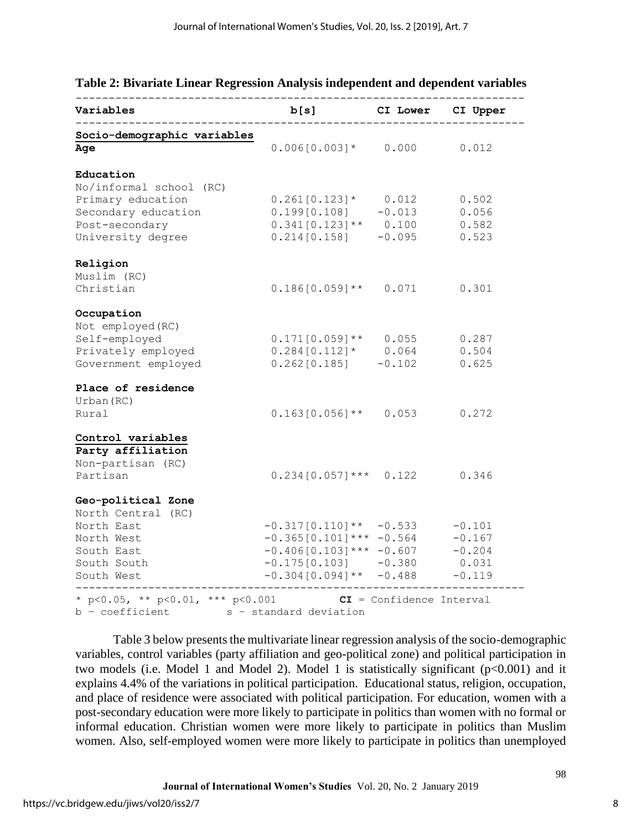| Variables                                 | b[s]                                                    | CI Lower                   | CI Upper          |  |
|-------------------------------------------|---------------------------------------------------------|----------------------------|-------------------|--|
| Socio-demographic variables<br>Age        | $0.006[0.003]*$                                         | 0.000                      | 0.012             |  |
| Education                                 |                                                         |                            |                   |  |
| No/informal school (RC)                   |                                                         |                            |                   |  |
| Primary education<br>Secondary education  | $0.261[0.123]$ *<br>0.199[0.108]                        | 0.012<br>$-0.013$          | 0.502<br>0.056    |  |
| Post-secondary                            | $0.341[0.123]$ **                                       | 0.100                      | 0.582             |  |
| University degree                         | 0.214[0.158]                                            | $-0.095$                   | 0.523             |  |
| Religion                                  |                                                         |                            |                   |  |
| Muslim (RC)                               |                                                         |                            |                   |  |
| Christian                                 | $0.186[0.059]$ **                                       | 0.071                      | 0.301             |  |
| Occupation                                |                                                         |                            |                   |  |
| Not employed (RC)                         |                                                         |                            |                   |  |
| Self-employed                             | $0.171[0.059]$ **<br>$0.284 [0.112]$ * 0.064            | 0.055                      | 0.287<br>0.504    |  |
| Privately employed<br>Government employed | 0.262[0.185]                                            | $-0.102$                   | 0.625             |  |
| Place of residence                        |                                                         |                            |                   |  |
| Urban (RC)                                |                                                         |                            |                   |  |
| Rural                                     | $0.163[0.056]$ **                                       | 0.053                      | 0.272             |  |
| Control variables                         |                                                         |                            |                   |  |
| Party affiliation                         |                                                         |                            |                   |  |
| Non-partisan (RC)                         |                                                         |                            |                   |  |
| Partisan                                  | $0.234[0.057]$ ***                                      | 0.122                      | 0.346             |  |
| Geo-political Zone                        |                                                         |                            |                   |  |
| North Central (RC)                        |                                                         |                            |                   |  |
| North East                                | $-0.317[0.110]$ ** $-0.533$                             |                            | $-0.101$          |  |
| North West                                | $-0.365[0.101]$ *** $-0.564$                            |                            | $-0.167$          |  |
| South East<br>South South                 | $-0.406[0.103]$ *** $-0.607$                            |                            | $-0.204$<br>0.031 |  |
| South West                                | $-0.175[0.103]$ $-0.380$<br>$-0.304[0.094]$ ** $-0.488$ |                            | $-0.119$          |  |
| * p<0.05, ** p<0.01, *** p<0.001          |                                                         | $CI = Confidence Interval$ |                   |  |
| b - coefficient                           | s - standard deviation                                  |                            |                   |  |

#### **Table 2: Bivariate Linear Regression Analysis independent and dependent variables** --------------------------------------------------------------------

Table 3 below presents the multivariate linear regression analysis of the socio-demographic variables, control variables (party affiliation and geo-political zone) and political participation in two models (i.e. Model 1 and Model 2). Model 1 is statistically significant  $(p<0.001)$  and it explains 4.4% of the variations in political participation. Educational status, religion, occupation, and place of residence were associated with political participation. For education, women with a post-secondary education were more likely to participate in politics than women with no formal or informal education. Christian women were more likely to participate in politics than Muslim women. Also, self-employed women were more likely to participate in politics than unemployed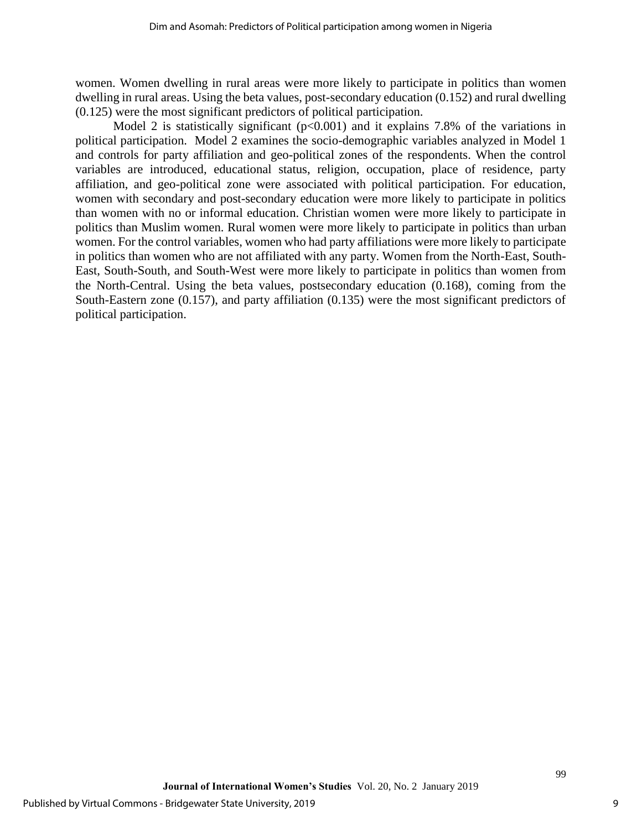women. Women dwelling in rural areas were more likely to participate in politics than women dwelling in rural areas. Using the beta values, post-secondary education (0.152) and rural dwelling (0.125) were the most significant predictors of political participation.

Model 2 is statistically significant  $(p<0.001)$  and it explains 7.8% of the variations in political participation. Model 2 examines the socio-demographic variables analyzed in Model 1 and controls for party affiliation and geo-political zones of the respondents. When the control variables are introduced, educational status, religion, occupation, place of residence, party affiliation, and geo-political zone were associated with political participation. For education, women with secondary and post-secondary education were more likely to participate in politics than women with no or informal education. Christian women were more likely to participate in politics than Muslim women. Rural women were more likely to participate in politics than urban women. For the control variables, women who had party affiliations were more likely to participate in politics than women who are not affiliated with any party. Women from the North-East, South-East, South-South, and South-West were more likely to participate in politics than women from the North-Central. Using the beta values, postsecondary education (0.168), coming from the South-Eastern zone (0.157), and party affiliation (0.135) were the most significant predictors of political participation.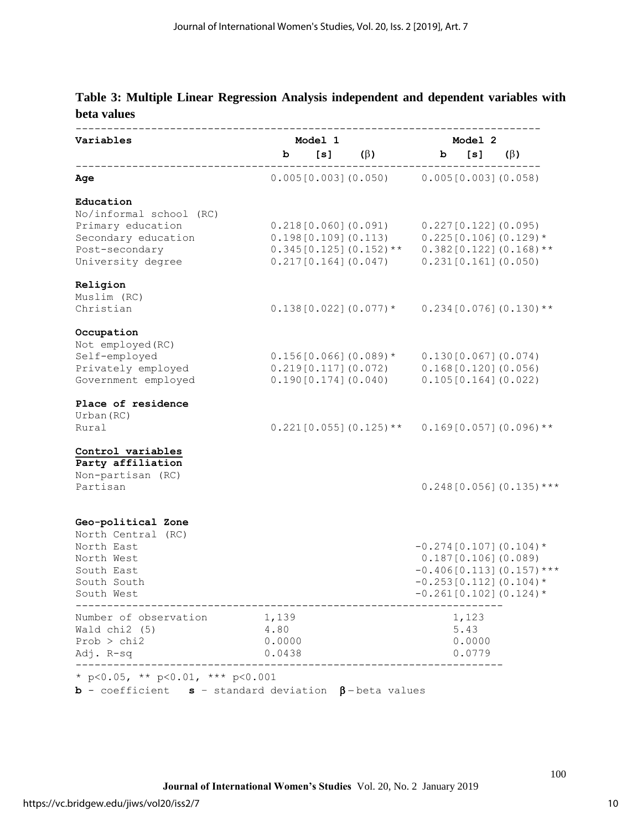# **Table 3: Multiple Linear Regression Analysis independent and dependent variables with beta values**

| Variables                                                            | Model 1 |  |                                                                                                                                                                                                          | Model 2         |                            |  |
|----------------------------------------------------------------------|---------|--|----------------------------------------------------------------------------------------------------------------------------------------------------------------------------------------------------------|-----------------|----------------------------|--|
|                                                                      | b       |  | $[s]$ ( $\beta$ )                                                                                                                                                                                        | b [s] $(\beta)$ |                            |  |
| Age                                                                  |         |  | $0.005[0.003]$ (0.050) $0.005[0.003]$ (0.058)                                                                                                                                                            |                 |                            |  |
| Education                                                            |         |  |                                                                                                                                                                                                          |                 |                            |  |
| No/informal school (RC)                                              |         |  |                                                                                                                                                                                                          |                 |                            |  |
| Primary education                                                    |         |  | $0.218[0.060](0.091)$ $0.227[0.122](0.095)$                                                                                                                                                              |                 |                            |  |
| Secondary education                                                  |         |  | $0.198[0.109]$ (0.113)                                                                                                                                                                                   |                 | $0.225[0.106](0.129)$ *    |  |
| Post-secondary<br>University degree                                  |         |  | $0.345[0.125](0.152)$ ** $0.382[0.122](0.168)$ **<br>0.217[0.164](0.047)                                                                                                                                 |                 | 0.231[0.161](0.050)        |  |
| Religion                                                             |         |  |                                                                                                                                                                                                          |                 |                            |  |
| Muslim (RC)                                                          |         |  |                                                                                                                                                                                                          |                 |                            |  |
| Christian                                                            |         |  | $0.138[0.022] (0.077)*$ 0.234[0.076] (0.130)**                                                                                                                                                           |                 |                            |  |
| Occupation                                                           |         |  |                                                                                                                                                                                                          |                 |                            |  |
| Not employed (RC)                                                    |         |  |                                                                                                                                                                                                          |                 |                            |  |
| Self-employed<br>Privately employed                                  |         |  |                                                                                                                                                                                                          |                 |                            |  |
| Government employed                                                  |         |  | $\begin{array}{lll} 0.156[0.066] \, (0.089) \, ^{\star} & 0.130[0.067] \, (0.074) \\ 0.219[0.117] \, (0.072) & 0.168[0.120] \, (0.056) \\ 0.190[0.174] \, (0.040) & 0.105[0.164] \, (0.022) \end{array}$ |                 |                            |  |
| Place of residence                                                   |         |  |                                                                                                                                                                                                          |                 |                            |  |
| Urban (RC)                                                           |         |  |                                                                                                                                                                                                          |                 |                            |  |
| Rural                                                                |         |  | $0.221[0.055](0.125)$ ** $0.169[0.057](0.096)$ **                                                                                                                                                        |                 |                            |  |
| Control variables                                                    |         |  |                                                                                                                                                                                                          |                 |                            |  |
| Party affiliation                                                    |         |  |                                                                                                                                                                                                          |                 |                            |  |
| Non-partisan (RC)                                                    |         |  |                                                                                                                                                                                                          |                 |                            |  |
| Partisan                                                             |         |  |                                                                                                                                                                                                          |                 | $0.248[0.056](0.135)$ ***  |  |
| Geo-political Zone                                                   |         |  |                                                                                                                                                                                                          |                 |                            |  |
| North Central (RC)                                                   |         |  |                                                                                                                                                                                                          |                 |                            |  |
| North East                                                           |         |  |                                                                                                                                                                                                          |                 | $-0.274[0.107](0.104)$ *   |  |
| North West                                                           |         |  |                                                                                                                                                                                                          |                 | 0.187[0.106](0.089)        |  |
| South East                                                           |         |  |                                                                                                                                                                                                          |                 | $-0.406[0.113](0.157)$ *** |  |
| South South                                                          |         |  |                                                                                                                                                                                                          |                 | $-0.253[0.112](0.104)$ *   |  |
| South West                                                           |         |  |                                                                                                                                                                                                          |                 | $-0.261[0.102](0.124)$ *   |  |
| Number of observation 1,139                                          |         |  |                                                                                                                                                                                                          | 1,123           |                            |  |
| Wald $chi2$ (5)                                                      | 4.80    |  |                                                                                                                                                                                                          | 5.43            |                            |  |
| Prob > chi2                                                          | 0.0000  |  |                                                                                                                                                                                                          | 0.0000          |                            |  |
| Adj. R-sq                                                            | 0.0438  |  |                                                                                                                                                                                                          | 0.0779          |                            |  |
| * p<0.05, ** p<0.01, *** p<0.001                                     |         |  |                                                                                                                                                                                                          |                 |                            |  |
| <b>b</b> - coefficient $s$ - standard deviation $\beta$ -beta values |         |  |                                                                                                                                                                                                          |                 |                            |  |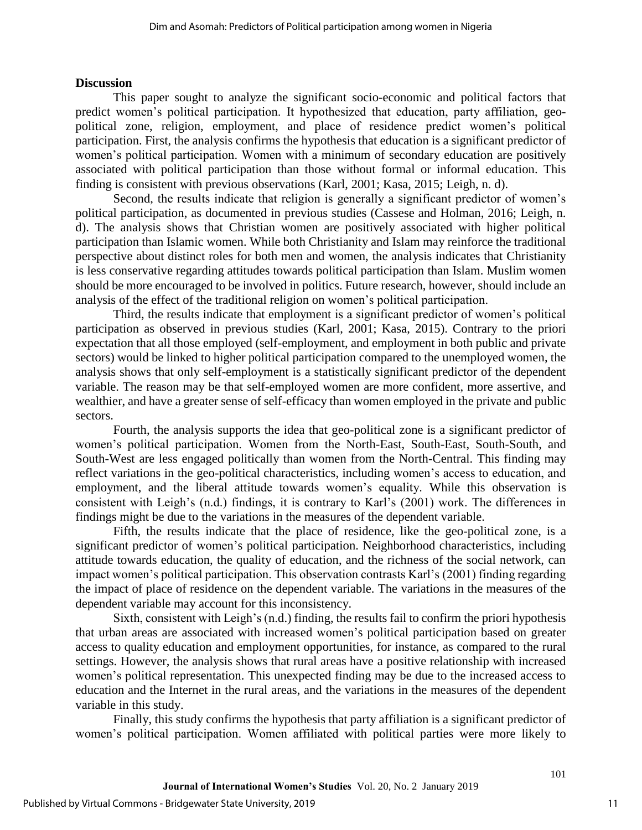### **Discussion**

This paper sought to analyze the significant socio-economic and political factors that predict women's political participation. It hypothesized that education, party affiliation, geopolitical zone, religion, employment, and place of residence predict women's political participation. First, the analysis confirms the hypothesis that education is a significant predictor of women's political participation. Women with a minimum of secondary education are positively associated with political participation than those without formal or informal education. This finding is consistent with previous observations (Karl, 2001; Kasa, 2015; Leigh, n. d).

Second, the results indicate that religion is generally a significant predictor of women's political participation, as documented in previous studies (Cassese and Holman, 2016; Leigh, n. d). The analysis shows that Christian women are positively associated with higher political participation than Islamic women. While both Christianity and Islam may reinforce the traditional perspective about distinct roles for both men and women, the analysis indicates that Christianity is less conservative regarding attitudes towards political participation than Islam. Muslim women should be more encouraged to be involved in politics. Future research, however, should include an analysis of the effect of the traditional religion on women's political participation.

Third, the results indicate that employment is a significant predictor of women's political participation as observed in previous studies (Karl, 2001; Kasa, 2015). Contrary to the priori expectation that all those employed (self-employment, and employment in both public and private sectors) would be linked to higher political participation compared to the unemployed women, the analysis shows that only self-employment is a statistically significant predictor of the dependent variable. The reason may be that self-employed women are more confident, more assertive, and wealthier, and have a greater sense of self-efficacy than women employed in the private and public sectors.

Fourth, the analysis supports the idea that geo-political zone is a significant predictor of women's political participation. Women from the North-East, South-East, South-South, and South-West are less engaged politically than women from the North-Central. This finding may reflect variations in the geo-political characteristics, including women's access to education, and employment, and the liberal attitude towards women's equality. While this observation is consistent with Leigh's (n.d.) findings, it is contrary to Karl's (2001) work. The differences in findings might be due to the variations in the measures of the dependent variable.

Fifth, the results indicate that the place of residence, like the geo-political zone, is a significant predictor of women's political participation. Neighborhood characteristics, including attitude towards education, the quality of education, and the richness of the social network, can impact women's political participation. This observation contrasts Karl's (2001) finding regarding the impact of place of residence on the dependent variable. The variations in the measures of the dependent variable may account for this inconsistency.

Sixth, consistent with Leigh's (n.d.) finding, the results fail to confirm the priori hypothesis that urban areas are associated with increased women's political participation based on greater access to quality education and employment opportunities, for instance, as compared to the rural settings. However, the analysis shows that rural areas have a positive relationship with increased women's political representation. This unexpected finding may be due to the increased access to education and the Internet in the rural areas, and the variations in the measures of the dependent variable in this study.

Finally, this study confirms the hypothesis that party affiliation is a significant predictor of women's political participation. Women affiliated with political parties were more likely to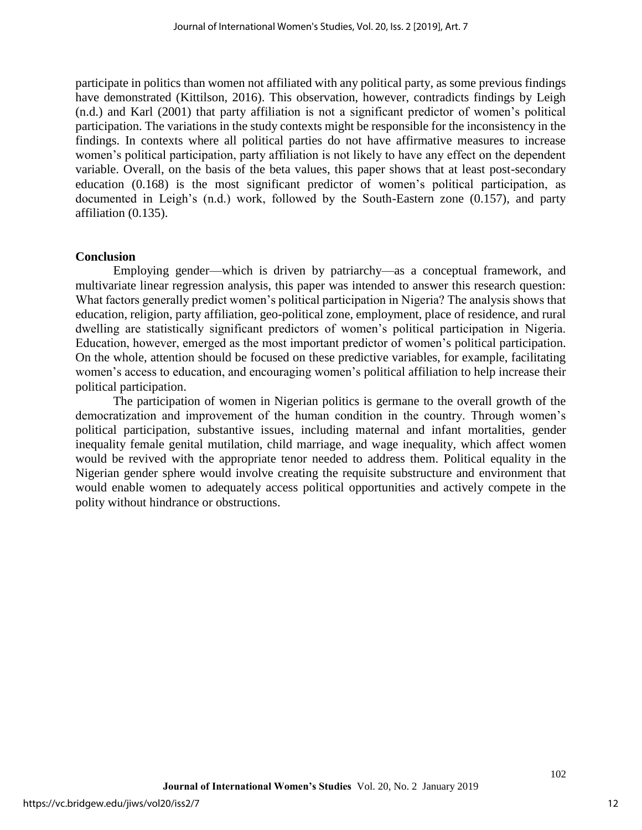participate in politics than women not affiliated with any political party, as some previous findings have demonstrated (Kittilson, 2016). This observation, however, contradicts findings by Leigh (n.d.) and Karl (2001) that party affiliation is not a significant predictor of women's political participation. The variations in the study contexts might be responsible for the inconsistency in the findings. In contexts where all political parties do not have affirmative measures to increase women's political participation, party affiliation is not likely to have any effect on the dependent variable. Overall, on the basis of the beta values, this paper shows that at least post-secondary education (0.168) is the most significant predictor of women's political participation, as documented in Leigh's (n.d.) work, followed by the South-Eastern zone (0.157), and party affiliation (0.135).

#### **Conclusion**

Employing gender—which is driven by patriarchy—as a conceptual framework, and multivariate linear regression analysis, this paper was intended to answer this research question: What factors generally predict women's political participation in Nigeria? The analysis shows that education, religion, party affiliation, geo-political zone, employment, place of residence, and rural dwelling are statistically significant predictors of women's political participation in Nigeria. Education, however, emerged as the most important predictor of women's political participation. On the whole, attention should be focused on these predictive variables, for example, facilitating women's access to education, and encouraging women's political affiliation to help increase their political participation.

The participation of women in Nigerian politics is germane to the overall growth of the democratization and improvement of the human condition in the country. Through women's political participation, substantive issues, including maternal and infant mortalities, gender inequality female genital mutilation, child marriage, and wage inequality, which affect women would be revived with the appropriate tenor needed to address them. Political equality in the Nigerian gender sphere would involve creating the requisite substructure and environment that would enable women to adequately access political opportunities and actively compete in the polity without hindrance or obstructions.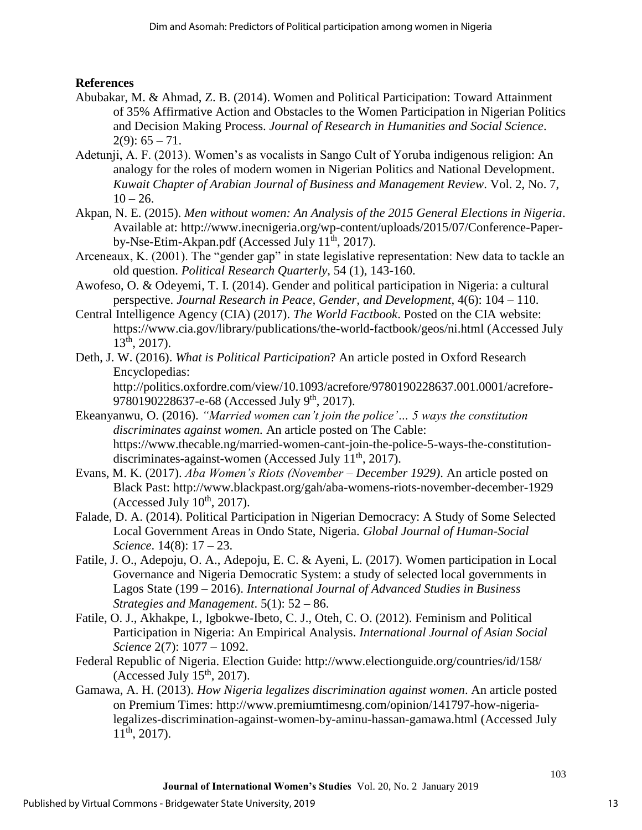## **References**

- Abubakar, M. & Ahmad, Z. B. (2014). Women and Political Participation: Toward Attainment of 35% Affirmative Action and Obstacles to the Women Participation in Nigerian Politics and Decision Making Process. *Journal of Research in Humanities and Social Science*.  $2(9)$ : 65 – 71.
- Adetunji, A. F. (2013). Women's as vocalists in Sango Cult of Yoruba indigenous religion: An analogy for the roles of modern women in Nigerian Politics and National Development. *Kuwait Chapter of Arabian Journal of Business and Management Review*. Vol. 2, No. 7,  $10 - 26.$
- Akpan, N. E. (2015). *Men without women: An Analysis of the 2015 General Elections in Nigeria*. Available at: http://www.inecnigeria.org/wp-content/uploads/2015/07/Conference-Paperby-Nse-Etim-Akpan.pdf (Accessed July 11<sup>th</sup>, 2017).
- Arceneaux, K. (2001). The "gender gap" in state legislative representation: New data to tackle an old question. *Political Research Quarterly*, 54 (1), 143-160.
- Awofeso, O. & Odeyemi, T. I. (2014). Gender and political participation in Nigeria: a cultural perspective. *Journal Research in Peace, Gender, and Development*, 4(6): 104 – 110.
- Central Intelligence Agency (CIA) (2017). *The World Factbook*. Posted on the CIA website: https://www.cia.gov/library/publications/the-world-factbook/geos/ni.html (Accessed July 13th , 2017).
- Deth, J. W. (2016). *What is Political Participation*? An article posted in Oxford Research Encyclopedias:

http://politics.oxfordre.com/view/10.1093/acrefore/9780190228637.001.0001/acrefore-9780190228637-e-68 (Accessed July 9<sup>th</sup>, 2017).

- Ekeanyanwu, O. (2016). *"Married women can't join the police'… 5 ways the constitution discriminates against women.* An article posted on The Cable: https://www.thecable.ng/married-women-cant-join-the-police-5-ways-the-constitutiondiscriminates-against-women (Accessed July 11<sup>th</sup>, 2017).
- Evans, M. K. (2017). *Aba Women's Riots (November – December 1929)*. An article posted on Black Past: http://www.blackpast.org/gah/aba-womens-riots-november-december-1929 (Accessed July  $10^{th}$ , 2017).
- Falade, D. A. (2014). Political Participation in Nigerian Democracy: A Study of Some Selected Local Government Areas in Ondo State, Nigeria. *Global Journal of Human-Social Science*. 14(8): 17 – 23.
- Fatile, J. O., Adepoju, O. A., Adepoju, E. C. & Ayeni, L. (2017). Women participation in Local Governance and Nigeria Democratic System: a study of selected local governments in Lagos State (199 – 2016). *International Journal of Advanced Studies in Business Strategies and Management*. 5(1): 52 – 86.
- Fatile, O. J., Akhakpe, I., Igbokwe-Ibeto, C. J., Oteh, C. O. (2012). Feminism and Political Participation in Nigeria: An Empirical Analysis. *International Journal of Asian Social Science* 2(7): 1077 – 1092.
- Federal Republic of Nigeria. Election Guide: http://www.electionguide.org/countries/id/158/ (Accessed July  $15<sup>th</sup>$ , 2017).
- Gamawa, A. H. (2013). *How Nigeria legalizes discrimination against women*. An article posted on Premium Times: http://www.premiumtimesng.com/opinion/141797-how-nigerialegalizes-discrimination-against-women-by-aminu-hassan-gamawa.html (Accessed July  $11<sup>th</sup>$ , 2017).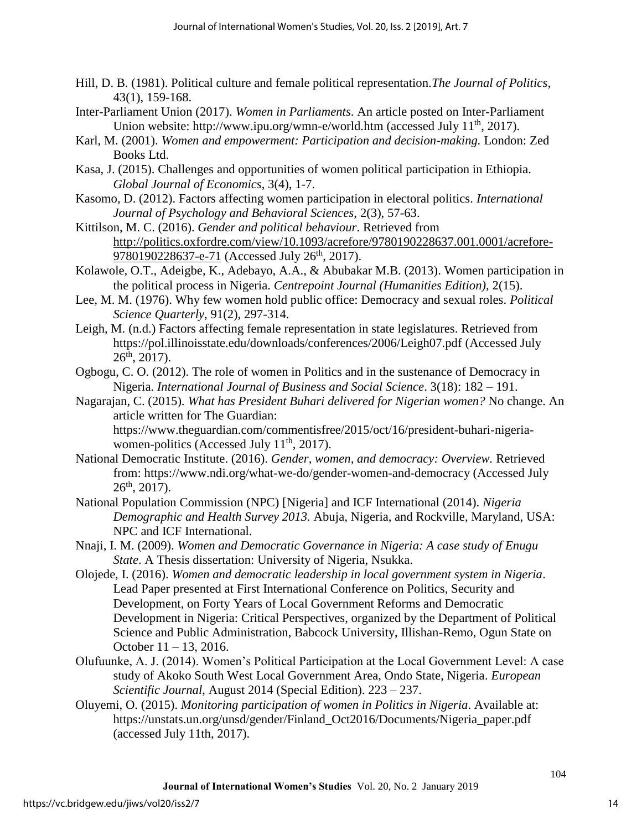- Hill, D. B. (1981). Political culture and female political representation.*The Journal of Politics*, 43(1), 159-168.
- Inter-Parliament Union (2017). *Women in Parliaments*. An article posted on Inter-Parliament Union website: http://www.ipu.org/wmn-e/world.htm (accessed July  $11<sup>th</sup>$ , 2017).
- Karl, M. (2001). *Women and empowerment: Participation and decision-making.* London: Zed Books Ltd.
- Kasa, J. (2015). Challenges and opportunities of women political participation in Ethiopia. *Global Journal of Economics*, 3(4), 1-7.
- Kasomo, D. (2012). Factors affecting women participation in electoral politics. *International Journal of Psychology and Behavioral Sciences*, 2(3), 57-63.
- Kittilson, M. C. (2016). *Gender and political behaviour*. Retrieved from http[://politics.oxfordre.com/view/10.1093/acrefore/9780190228637.001.0001/acrefore-](//politics.oxfordre.com/view/10.1093/acrefore/9780190228637.001.0001/acrefore-97801)[978019](//politics.oxfordre.com/view/10.1093/acrefore/9780190228637.001.0001/acrefore-97801)0228637-e-71 (Accessed July 26<sup>th</sup>, 2017).
- Kolawole, O.T., Adeigbe, K., Adebayo, A.A., & Abubakar M.B. (2013). Women participation in the political process in Nigeria. *Centrepoint Journal (Humanities Edition)*, 2(15).
- Lee, M. M. (1976). Why few women hold public office: Democracy and sexual roles. *Political Science Quarterly*, 91(2), 297-314.
- Leigh, M. (n.d.) Factors affecting female representation in state legislatures. Retrieved from https://pol.illinoisstate.edu/downloads/conferences/2006/Leigh07.pdf (Accessed July  $26<sup>th</sup>$ , 2017).
- Ogbogu, C. O. (2012). The role of women in Politics and in the sustenance of Democracy in Nigeria. *International Journal of Business and Social Science*. 3(18): 182 – 191.
- Nagarajan, C. (2015). *What has President Buhari delivered for Nigerian women?* No change. An article written for The Guardian:

https://www.theguardian.com/commentisfree/2015/oct/16/president-buhari-nigeriawomen-politics (Accessed July 11<sup>th</sup>, 2017).

- National Democratic Institute. (2016). *Gender, women, and democracy: Overview.* Retrieved from: https://www.ndi.org/what-we-do/gender-women-and-democracy (Accessed July  $26<sup>th</sup>$ , 2017).
- National Population Commission (NPC) [Nigeria] and ICF International (2014). *Nigeria Demographic and Health Survey 2013.* Abuja, Nigeria, and Rockville, Maryland, USA: NPC and ICF International.
- Nnaji, I. M. (2009). *Women and Democratic Governance in Nigeria: A case study of Enugu State*. A Thesis dissertation: University of Nigeria, Nsukka.
- Olojede, I. (2016). *Women and democratic leadership in local government system in Nigeria*. Lead Paper presented at First International Conference on Politics, Security and Development, on Forty Years of Local Government Reforms and Democratic Development in Nigeria: Critical Perspectives, organized by the Department of Political Science and Public Administration, Babcock University, Illishan-Remo, Ogun State on October 11 – 13, 2016.
- Olufuunke, A. J. (2014). Women's Political Participation at the Local Government Level: A case study of Akoko South West Local Government Area, Ondo State, Nigeria. *European Scientific Journal*, August 2014 (Special Edition). 223 – 237.
- Oluyemi, O. (2015). *Monitoring participation of women in Politics in Nigeria*. Available at: https://unstats.un.org/unsd/gender/Finland\_Oct2016/Documents/Nigeria\_paper.pdf (accessed July 11th, 2017).